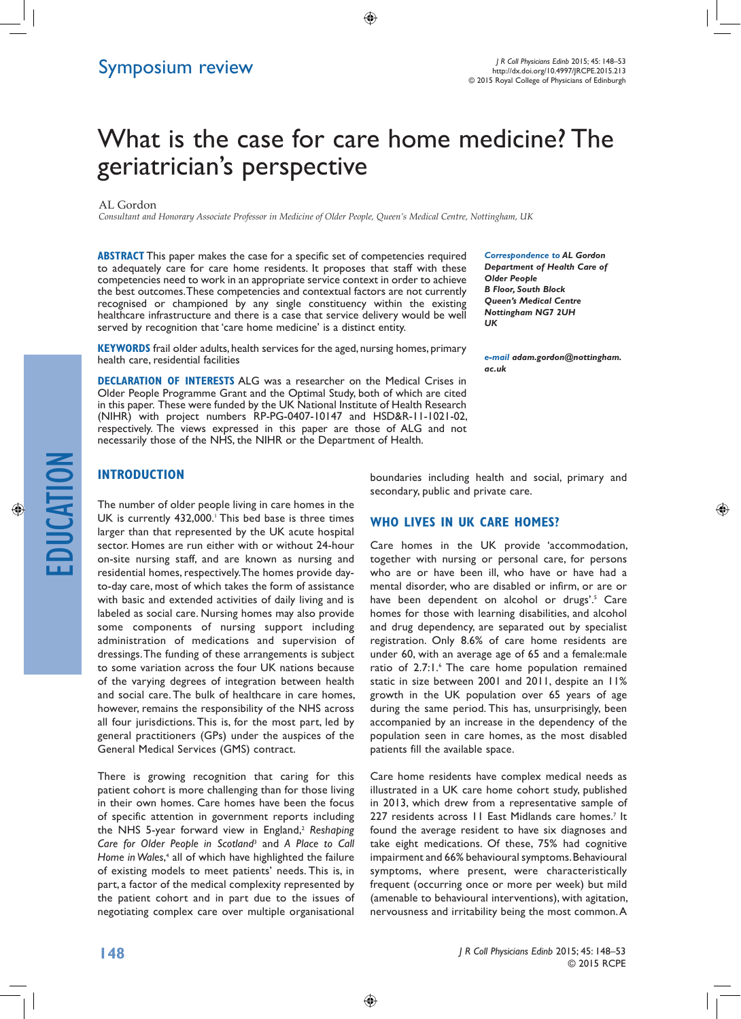### Symposium review

# What is the case for care home medicine? The geriatrician's perspective

⊕

#### AL Gordon

*Consultant and Honorary Associate Professor in Medicine of Older People, Queen's Medical Centre, Nottingham, UK* 

**ABSTRACT** This paper makes the case for a specific set of competencies required to adequately care for care home residents. It proposes that staff with these competencies need to work in an appropriate service context in order to achieve the best outcomes. These competencies and contextual factors are not currently recognised or championed by any single constituency within the existing healthcare infrastructure and there is a case that service delivery would be well served by recognition that 'care home medicine' is a distinct entity.

**KEYWORDS** frail older adults, health services for the aged, nursing homes, primary health care, residential facilities

**Declaration of Interests** ALG was a researcher on the Medical Crises in Older People Programme Grant and the Optimal Study, both of which are cited in this paper. These were funded by the UK National Institute of Health Research (NIHR) with project numbers RP-PG-0407-10147 and HSD&R-11-1021-02, respectively. The views expressed in this paper are those of ALG and not necessarily those of the NHS, the NIHR or the Department of Health.

#### **introduction**

The number of older people living in care homes in the UK is currently 432,000.<sup>1</sup> This bed base is three times larger than that represented by the UK acute hospital sector. Homes are run either with or without 24-hour on-site nursing staff, and are known as nursing and residential homes, respectively. The homes provide dayto-day care, most of which takes the form of assistance with basic and extended activities of daily living and is labeled as social care. Nursing homes may also provide some components of nursing support including administration of medications and supervision of dressings. The funding of these arrangements is subject to some variation across the four UK nations because of the varying degrees of integration between health and social care. The bulk of healthcare in care homes, however, remains the responsibility of the NHS across all four jurisdictions. This is, for the most part, led by general practitioners (GPs) under the auspices of the General Medical Services (GMS) contract.

There is growing recognition that caring for this patient cohort is more challenging than for those living in their own homes. Care homes have been the focus of specific attention in government reports including the NHS 5-year forward view in England,<sup>2</sup> Reshaping *Care for Older People in Scotland*<sup>3</sup> and *A Place to Call*  Home in Wales,<sup>4</sup> all of which have highlighted the failure of existing models to meet patients' needs. This is, in part, a factor of the medical complexity represented by the patient cohort and in part due to the issues of negotiating complex care over multiple organisational

*Correspondence to AL Gordon Department of Health Care of Older People B Floor, South Block Queen's Medical Centre Nottingham NG7 2UH UK*

*e-mail adam.gordon@nottingham. ac.uk*

◈

boundaries including health and social, primary and secondary, public and private care.

#### **Who lives in UK care homes?**

Care homes in the UK provide 'accommodation, together with nursing or personal care, for persons who are or have been ill, who have or have had a mental disorder, who are disabled or infirm, or are or have been dependent on alcohol or drugs'.<sup>5</sup> Care homes for those with learning disabilities, and alcohol and drug dependency, are separated out by specialist registration. Only 8.6% of care home residents are under 60, with an average age of 65 and a female:male ratio of 2.7:1. The care home population remained static in size between 2001 and 2011, despite an 11% growth in the UK population over 65 years of age during the same period. This has, unsurprisingly, been accompanied by an increase in the dependency of the population seen in care homes, as the most disabled patients fill the available space.

Care home residents have complex medical needs as illustrated in a UK care home cohort study, published in 2013, which drew from a representative sample of 227 residents across 11 East Midlands care homes.<sup>7</sup> It found the average resident to have six diagnoses and take eight medications. Of these, 75% had cognitive impairment and 66% behavioural symptoms. Behavioural symptoms, where present, were characteristically frequent (occurring once or more per week) but mild (amenable to behavioural interventions), with agitation, nervousness and irritability being the most common. A

 $\bigcirc$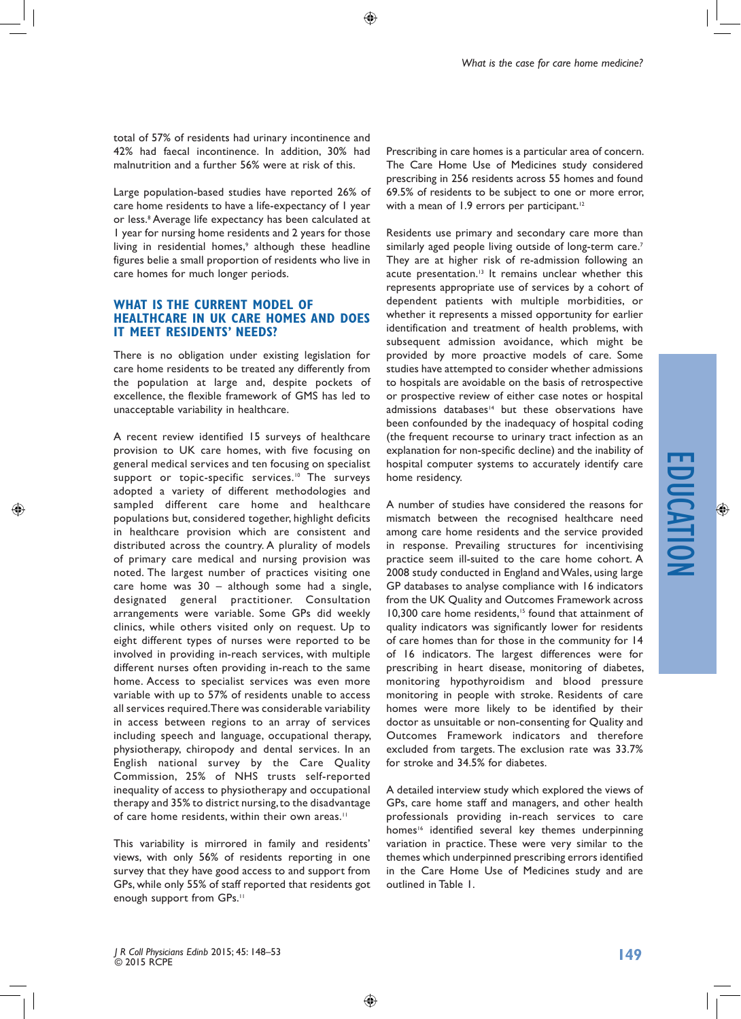total of 57% of residents had urinary incontinence and 42% had faecal incontinence. In addition, 30% had malnutrition and a further 56% were at risk of this.

◈

Large population-based studies have reported 26% of care home residents to have a life-expectancy of 1 year or less.8 Average life expectancy has been calculated at 1 year for nursing home residents and 2 years for those living in residential homes,<sup>9</sup> although these headline figures belie a small proportion of residents who live in care homes for much longer periods.

#### **What is the current model of healthcare in UK care homes and does it meet residents' needs?**

There is no obligation under existing legislation for care home residents to be treated any differently from the population at large and, despite pockets of excellence, the flexible framework of GMS has led to unacceptable variability in healthcare.

A recent review identified 15 surveys of healthcare provision to UK care homes, with five focusing on general medical services and ten focusing on specialist support or topic-specific services.<sup>10</sup> The surveys adopted a variety of different methodologies and sampled different care home and healthcare populations but, considered together, highlight deficits in healthcare provision which are consistent and distributed across the country. A plurality of models of primary care medical and nursing provision was noted. The largest number of practices visiting one care home was 30 – although some had a single, designated general practitioner. Consultation arrangements were variable. Some GPs did weekly clinics, while others visited only on request. Up to eight different types of nurses were reported to be involved in providing in-reach services, with multiple different nurses often providing in-reach to the same home. Access to specialist services was even more variable with up to 57% of residents unable to access all services required. There was considerable variability in access between regions to an array of services including speech and language, occupational therapy, physiotherapy, chiropody and dental services. In an English national survey by the Care Quality Commission, 25% of NHS trusts self-reported inequality of access to physiotherapy and occupational therapy and 35% to district nursing, to the disadvantage of care home residents, within their own areas.<sup>11</sup>

◈

This variability is mirrored in family and residents' views, with only 56% of residents reporting in one survey that they have good access to and support from GPs, while only 55% of staff reported that residents got enough support from GPs.<sup>11</sup>

Prescribing in care homes is a particular area of concern. The Care Home Use of Medicines study considered prescribing in 256 residents across 55 homes and found 69.5% of residents to be subject to one or more error, with a mean of 1.9 errors per participant.<sup>12</sup>

Residents use primary and secondary care more than similarly aged people living outside of long-term care.<sup>7</sup> They are at higher risk of re-admission following an acute presentation.<sup>13</sup> It remains unclear whether this represents appropriate use of services by a cohort of dependent patients with multiple morbidities, or whether it represents a missed opportunity for earlier identification and treatment of health problems, with subsequent admission avoidance, which might be provided by more proactive models of care. Some studies have attempted to consider whether admissions to hospitals are avoidable on the basis of retrospective or prospective review of either case notes or hospital admissions databases<sup>14</sup> but these observations have been confounded by the inadequacy of hospital coding (the frequent recourse to urinary tract infection as an explanation for non-specific decline) and the inability of hospital computer systems to accurately identify care home residency.

A number of studies have considered the reasons for mismatch between the recognised healthcare need among care home residents and the service provided in response. Prevailing structures for incentivising practice seem ill-suited to the care home cohort. A 2008 study conducted in England and Wales, using large GP databases to analyse compliance with 16 indicators from the UK Quality and Outcomes Framework across 10,300 care home residents,<sup>15</sup> found that attainment of quality indicators was significantly lower for residents of care homes than for those in the community for 14 of 16 indicators. The largest differences were for prescribing in heart disease, monitoring of diabetes, monitoring hypothyroidism and blood pressure monitoring in people with stroke. Residents of care homes were more likely to be identified by their doctor as unsuitable or non-consenting for Quality and Outcomes Framework indicators and therefore excluded from targets. The exclusion rate was 33.7% for stroke and 34.5% for diabetes.

A detailed interview study which explored the views of GPs, care home staff and managers, and other health professionals providing in-reach services to care homes<sup>16</sup> identified several key themes underpinning variation in practice. These were very similar to the themes which underpinned prescribing errors identified in the Care Home Use of Medicines study and are outlined in Table 1.

*J R Coll Physicians Edinb* 2015; 45: 148–53  $\circ$  2015 RCPE

◈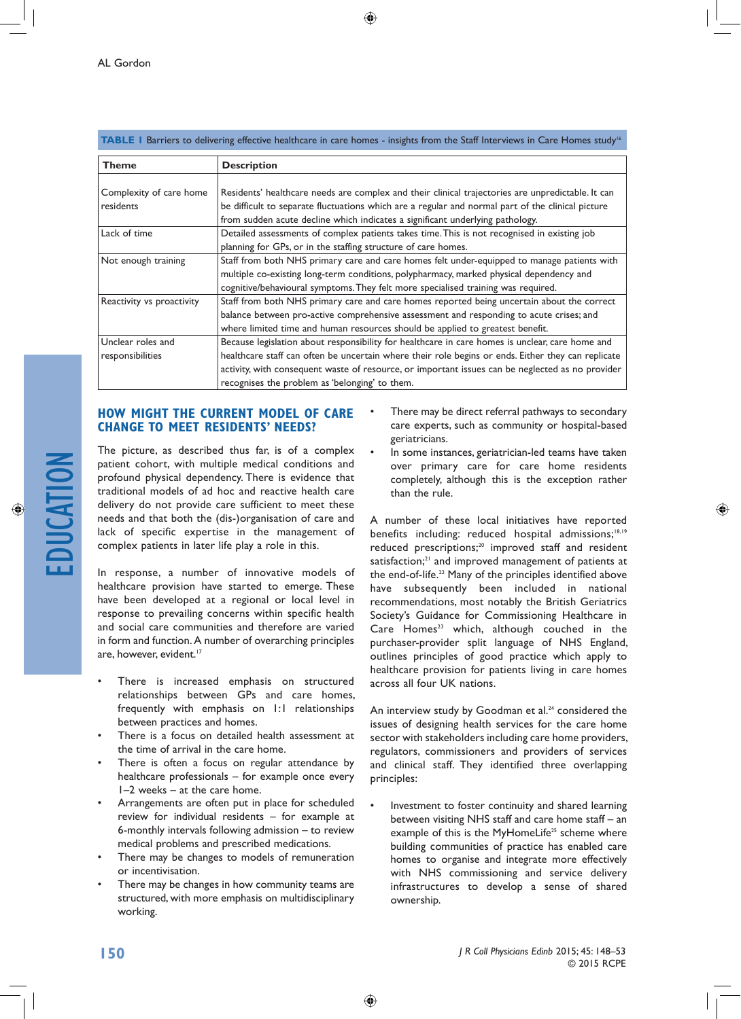| TABLE I Barriers to delivering effective healthcare in care homes - insights from the Staff Interviews in Care Homes study <sup>16</sup> |                                                                                                    |
|------------------------------------------------------------------------------------------------------------------------------------------|----------------------------------------------------------------------------------------------------|
| <b>Theme</b>                                                                                                                             | <b>Description</b>                                                                                 |
|                                                                                                                                          |                                                                                                    |
| Complexity of care home                                                                                                                  | Residents' healthcare needs are complex and their clinical trajectories are unpredictable. It can  |
| residents                                                                                                                                | be difficult to separate fluctuations which are a regular and normal part of the clinical picture  |
|                                                                                                                                          | from sudden acute decline which indicates a significant underlying pathology.                      |
| Lack of time                                                                                                                             | Detailed assessments of complex patients takes time. This is not recognised in existing job        |
|                                                                                                                                          | planning for GPs, or in the staffing structure of care homes.                                      |
| Not enough training                                                                                                                      | Staff from both NHS primary care and care homes felt under-equipped to manage patients with        |
|                                                                                                                                          | multiple co-existing long-term conditions, polypharmacy, marked physical dependency and            |
|                                                                                                                                          | cognitive/behavioural symptoms. They felt more specialised training was required.                  |
| Reactivity vs proactivity                                                                                                                | Staff from both NHS primary care and care homes reported being uncertain about the correct         |
|                                                                                                                                          | balance between pro-active comprehensive assessment and responding to acute crises; and            |
|                                                                                                                                          | where limited time and human resources should be applied to greatest benefit.                      |
| Unclear roles and                                                                                                                        | Because legislation about responsibility for healthcare in care homes is unclear, care home and    |
| responsibilities                                                                                                                         | healthcare staff can often be uncertain where their role begins or ends. Either they can replicate |
|                                                                                                                                          | activity, with consequent waste of resource, or important issues can be neglected as no provider   |
|                                                                                                                                          | recognises the problem as 'belonging' to them.                                                     |

◈

#### **How might the current model of care change to meet residents' needs?**

The picture, as described thus far, is of a complex patient cohort, with multiple medical conditions and profound physical dependency. There is evidence that traditional models of ad hoc and reactive health care delivery do not provide care sufficient to meet these needs and that both the (dis-)organisation of care and lack of specific expertise in the management of complex patients in later life play a role in this.

In response, a number of innovative models of healthcare provision have started to emerge. These have been developed at a regional or local level in response to prevailing concerns within specific health and social care communities and therefore are varied in form and function. A number of overarching principles are, however, evident.<sup>17</sup>

- There is increased emphasis on structured relationships between GPs and care homes, frequently with emphasis on 1:1 relationships between practices and homes.
- There is a focus on detailed health assessment at the time of arrival in the care home.
- There is often a focus on regular attendance by healthcare professionals – for example once every 1–2 weeks – at the care home.
- Arrangements are often put in place for scheduled review for individual residents – for example at 6-monthly intervals following admission – to review medical problems and prescribed medications.
- There may be changes to models of remuneration or incentivisation.
- There may be changes in how community teams are structured, with more emphasis on multidisciplinary working.
- There may be direct referral pathways to secondary care experts, such as community or hospital-based geriatricians.
- In some instances, geriatrician-led teams have taken over primary care for care home residents completely, although this is the exception rather than the rule.

◈

A number of these local initiatives have reported benefits including: reduced hospital admissions;<sup>18,19</sup> reduced prescriptions;<sup>20</sup> improved staff and resident satisfaction;<sup>21</sup> and improved management of patients at the end-of-life.22 Many of the principles identified above have subsequently been included in national recommendations, most notably the British Geriatrics Society's Guidance for Commissioning Healthcare in Care Homes<sup>23</sup> which, although couched in the purchaser-provider split language of NHS England, outlines principles of good practice which apply to healthcare provision for patients living in care homes across all four UK nations.

An interview study by Goodman et al.<sup>24</sup> considered the issues of designing health services for the care home sector with stakeholders including care home providers, regulators, commissioners and providers of services and clinical staff. They identified three overlapping principles:

Investment to foster continuity and shared learning between visiting NHS staff and care home staff – an example of this is the MyHomeLife<sup>25</sup> scheme where building communities of practice has enabled care homes to organise and integrate more effectively with NHS commissioning and service delivery infrastructures to develop a sense of shared ownership.

*J R Coll Physicians Edinb* 2015; 45: 148–53 © 2015 RCPE

education  $\bigcirc$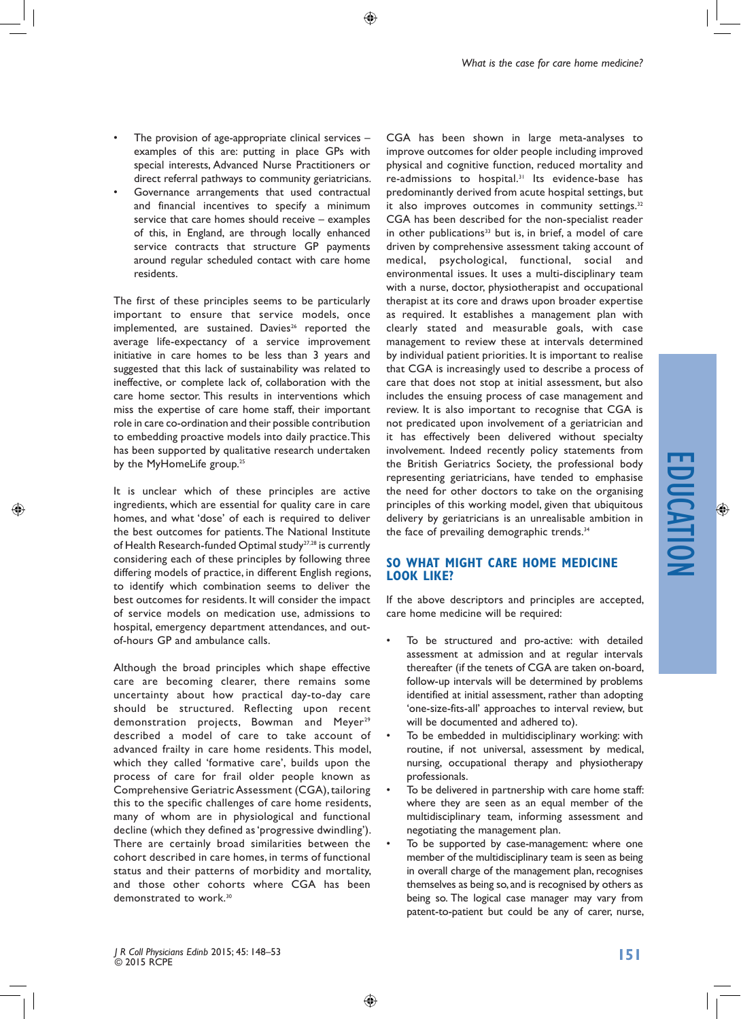education ◈

The provision of age-appropriate clinical services  $$ examples of this are: putting in place GPs with special interests, Advanced Nurse Practitioners or direct referral pathways to community geriatricians.

◈

Governance arrangements that used contractual and financial incentives to specify a minimum service that care homes should receive – examples of this, in England, are through locally enhanced service contracts that structure GP payments around regular scheduled contact with care home residents.

The first of these principles seems to be particularly important to ensure that service models, once implemented, are sustained. Davies<sup>26</sup> reported the average life-expectancy of a service improvement initiative in care homes to be less than 3 years and suggested that this lack of sustainability was related to ineffective, or complete lack of, collaboration with the care home sector. This results in interventions which miss the expertise of care home staff, their important role in care co-ordination and their possible contribution to embedding proactive models into daily practice. This has been supported by qualitative research undertaken by the MyHomeLife group.<sup>25</sup>

It is unclear which of these principles are active ingredients, which are essential for quality care in care homes, and what 'dose' of each is required to deliver the best outcomes for patients. The National Institute of Health Research-funded Optimal study<sup>27,28</sup> is currently considering each of these principles by following three differing models of practice, in different English regions, to identify which combination seems to deliver the best outcomes for residents. It will consider the impact of service models on medication use, admissions to hospital, emergency department attendances, and outof-hours GP and ambulance calls.

◈

Although the broad principles which shape effective care are becoming clearer, there remains some uncertainty about how practical day-to-day care should be structured. Reflecting upon recent demonstration projects, Bowman and Meyer<sup>29</sup> described a model of care to take account of advanced frailty in care home residents. This model, which they called 'formative care', builds upon the process of care for frail older people known as Comprehensive Geriatric Assessment (CGA), tailoring this to the specific challenges of care home residents, many of whom are in physiological and functional decline (which they defined as 'progressive dwindling'). There are certainly broad similarities between the cohort described in care homes, in terms of functional status and their patterns of morbidity and mortality, and those other cohorts where CGA has been demonstrated to work.<sup>30</sup>

CGA has been shown in large meta-analyses to improve outcomes for older people including improved physical and cognitive function, reduced mortality and re-admissions to hospital.<sup>31</sup> Its evidence-base has predominantly derived from acute hospital settings, but it also improves outcomes in community settings.<sup>32</sup> CGA has been described for the non-specialist reader in other publications<sup>33</sup> but is, in brief, a model of care driven by comprehensive assessment taking account of medical, psychological, functional, social and environmental issues. It uses a multi-disciplinary team with a nurse, doctor, physiotherapist and occupational therapist at its core and draws upon broader expertise as required. It establishes a management plan with clearly stated and measurable goals, with case management to review these at intervals determined by individual patient priorities. It is important to realise that CGA is increasingly used to describe a process of care that does not stop at initial assessment, but also includes the ensuing process of case management and review. It is also important to recognise that CGA is not predicated upon involvement of a geriatrician and it has effectively been delivered without specialty involvement. Indeed recently policy statements from the British Geriatrics Society, the professional body representing geriatricians, have tended to emphasise the need for other doctors to take on the organising principles of this working model, given that ubiquitous delivery by geriatricians is an unrealisable ambition in the face of prevailing demographic trends.<sup>34</sup>

#### **So what might care home medicine look like?**

If the above descriptors and principles are accepted, care home medicine will be required:

- To be structured and pro-active: with detailed assessment at admission and at regular intervals thereafter (if the tenets of CGA are taken on-board, follow-up intervals will be determined by problems identified at initial assessment, rather than adopting 'one-size-fits-all' approaches to interval review, but will be documented and adhered to).
- To be embedded in multidisciplinary working: with routine, if not universal, assessment by medical, nursing, occupational therapy and physiotherapy professionals.
- To be delivered in partnership with care home staff: where they are seen as an equal member of the multidisciplinary team, informing assessment and negotiating the management plan.
- To be supported by case-management: where one member of the multidisciplinary team is seen as being in overall charge of the management plan, recognises themselves as being so, and is recognised by others as being so. The logical case manager may vary from patent-to-patient but could be any of carer, nurse,

*J R Coll Physicians Edinb* 2015; 45: 148–53  $\circ$  2015 RCPE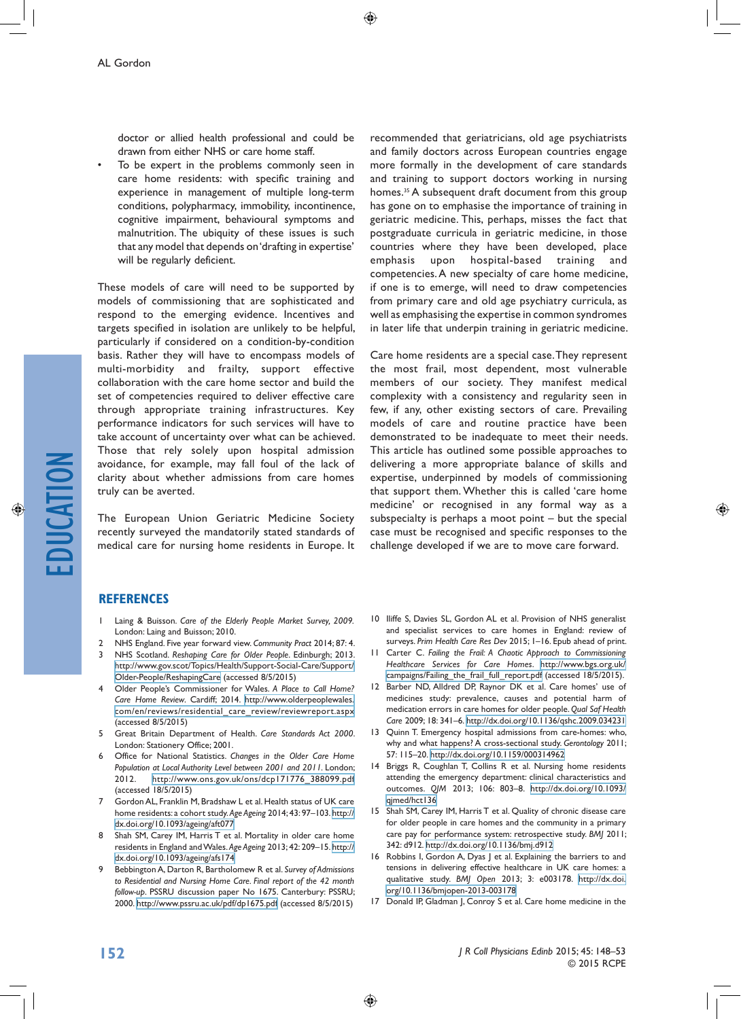doctor or allied health professional and could be drawn from either NHS or care home staff.

⊕

To be expert in the problems commonly seen in care home residents: with specific training and experience in management of multiple long-term conditions, polypharmacy, immobility, incontinence, cognitive impairment, behavioural symptoms and malnutrition. The ubiquity of these issues is such that any model that depends on 'drafting in expertise' will be regularly deficient.

These models of care will need to be supported by models of commissioning that are sophisticated and respond to the emerging evidence. Incentives and targets specified in isolation are unlikely to be helpful, particularly if considered on a condition-by-condition basis. Rather they will have to encompass models of multi-morbidity and frailty, support effective collaboration with the care home sector and build the set of competencies required to deliver effective care through appropriate training infrastructures. Key performance indicators for such services will have to take account of uncertainty over what can be achieved. Those that rely solely upon hospital admission avoidance, for example, may fall foul of the lack of clarity about whether admissions from care homes truly can be averted.

The European Union Geriatric Medicine Society recently surveyed the mandatorily stated standards of medical care for nursing home residents in Europe. It

recommended that geriatricians, old age psychiatrists and family doctors across European countries engage more formally in the development of care standards and training to support doctors working in nursing homes.<sup>35</sup> A subsequent draft document from this group has gone on to emphasise the importance of training in geriatric medicine. This, perhaps, misses the fact that postgraduate curricula in geriatric medicine, in those countries where they have been developed, place emphasis upon hospital-based training and competencies. A new specialty of care home medicine, if one is to emerge, will need to draw competencies from primary care and old age psychiatry curricula, as well as emphasising the expertise in common syndromes in later life that underpin training in geriatric medicine.

Care home residents are a special case. They represent the most frail, most dependent, most vulnerable members of our society. They manifest medical complexity with a consistency and regularity seen in few, if any, other existing sectors of care. Prevailing models of care and routine practice have been demonstrated to be inadequate to meet their needs. This article has outlined some possible approaches to delivering a more appropriate balance of skills and expertise, underpinned by models of commissioning that support them. Whether this is called 'care home medicine' or recognised in any formal way as a subspecialty is perhaps a moot point – but the special case must be recognised and specific responses to the challenge developed if we are to move care forward.

◈

#### **References**

- 1 Laing & Buisson. *Care of the Elderly People Market Survey, 2009.* London: Laing and Buisson; 2010.
- 2 NHS England. Five year forward view. *Community Pract* 2014; 87: 4.
- 3 NHS Scotland. *Reshaping Care for Older People*. Edinburgh; 2013. [http://www.gov.scot/Topics/Health/Support-Social-Care/Support/](http://www.gov.scot/Topics/Health/Support-Social-Care/Support/Older-People/ReshapingCare) [Older-People/ReshapingCare](http://www.gov.scot/Topics/Health/Support-Social-Care/Support/Older-People/ReshapingCare) (accessed 8/5/2015)
- 4 Older People's Commissioner for Wales. *A Place to Call Home? Care Home Review*. Cardiff; 2014. [http://www.olderpeoplewales.](http://www.olderpeoplewales.com/en/reviews/residential_care_review/reviewreport.aspx%20) [com/en/reviews/residential\\_care\\_review/reviewreport.aspx](http://www.olderpeoplewales.com/en/reviews/residential_care_review/reviewreport.aspx%20) (accessed 8/5/2015)
- 5 Great Britain Department of Health. *Care Standards Act 2000*. London: Stationery Office; 2001.
- 6 Office for National Statistics. *Changes in the Older Care Home*  Population at Local Authority Level between 2001 and 2011. London; 2012. [http://www.ons.gov.uk/ons/dcp171776\\_388099.pdf](http://www.ons.gov.uk/ons/dcp171776_388099.pdf%20) (accessed 18/5/2015)
- 7 Gordon AL, Franklin M, Bradshaw L et al. Health status of UK care home residents: a cohort study. *Age Ageing* 2014; 43: 97–103. [http://](http://dx.doi.org/10.1093/ageing/aft077) [dx.doi.org/10.1093/ageing/aft077](http://dx.doi.org/10.1093/ageing/aft077)
- Shah SM, Carey IM, Harris T et al. Mortality in older care home residents in England and Wales. *Age Ageing* 2013; 42: 209–15. [http://](http://dx.doi.org/10.1093/ageing/afs174) [dx.doi.org/10.1093/ageing/afs174](http://dx.doi.org/10.1093/ageing/afs174)
- 9 Bebbington A, Darton R, Bartholomew R et al. *Survey of Admissions to Residential and Nursing Home Care. Final report of the 42 month follow-up*. PSSRU discussion paper No 1675. Canterbury: PSSRU; 2000. <http://www.pssru.ac.uk/pdf/dp1675.pdf> (accessed 8/5/2015)
- 10 Iliffe S, Davies SL, Gordon AL et al. Provision of NHS generalist and specialist services to care homes in England: review of surveys. *Prim Health Care Res Dev* 2015; 1–16. Epub ahead of print.
- 11 Carter C. *Failing the Frail: A Chaotic Approach to Commissioning Healthcare Services for Care Homes*. [http://www.bgs.org.uk/](http://www.bgs.org.uk/campaigns/Failing_the_frail_full_report.pdf) [campaigns/Failing\\_the\\_frail\\_full\\_report.pdf](http://www.bgs.org.uk/campaigns/Failing_the_frail_full_report.pdf) (accessed 18/5/2015).
- 12 Barber ND, Alldred DP, Raynor DK et al. Care homes' use of medicines study: prevalence, causes and potential harm of medication errors in care homes for older people. *Qual Saf Health Care* 2009; 18: 341–6. <http://dx.doi.org/10.1136/qshc.2009.034231>
- 13 Quinn T. Emergency hospital admissions from care-homes: who, why and what happens? A cross-sectional study. *Gerontology* 2011; 57: 115–20. <http://dx.doi.org/10.1159/000314962>
- 14 Briggs R, Coughlan T, Collins R et al. Nursing home residents attending the emergency department: clinical characteristics and outcomes. *QJM* 2013; 106: 803–8. [http://dx.doi.org/10.1093/](http://dx.doi.org/10.1093/qjmed/hct136) qimed/hct136
- 15 Shah SM, Carey IM, Harris T et al. Quality of chronic disease care for older people in care homes and the community in a primary care pay for performance system: retrospective study. *BMJ* 2011; 342: d912. <http://dx.doi.org/10.1136/bmj.d912>
- 16 Robbins I, Gordon A, Dyas J et al. Explaining the barriers to and tensions in delivering effective healthcare in UK care homes: a qualitative study. *BMJ Open* 2013; 3: e003178. [http://dx.doi.](http://dx.doi.org/10.1136/bmjopen-2013-003178) [org/10.1136/bmjopen-2013-003178](http://dx.doi.org/10.1136/bmjopen-2013-003178)
- 17 Donald IP, Gladman J, Conroy S et al. Care home medicine in the

education

 $\bigcirc$